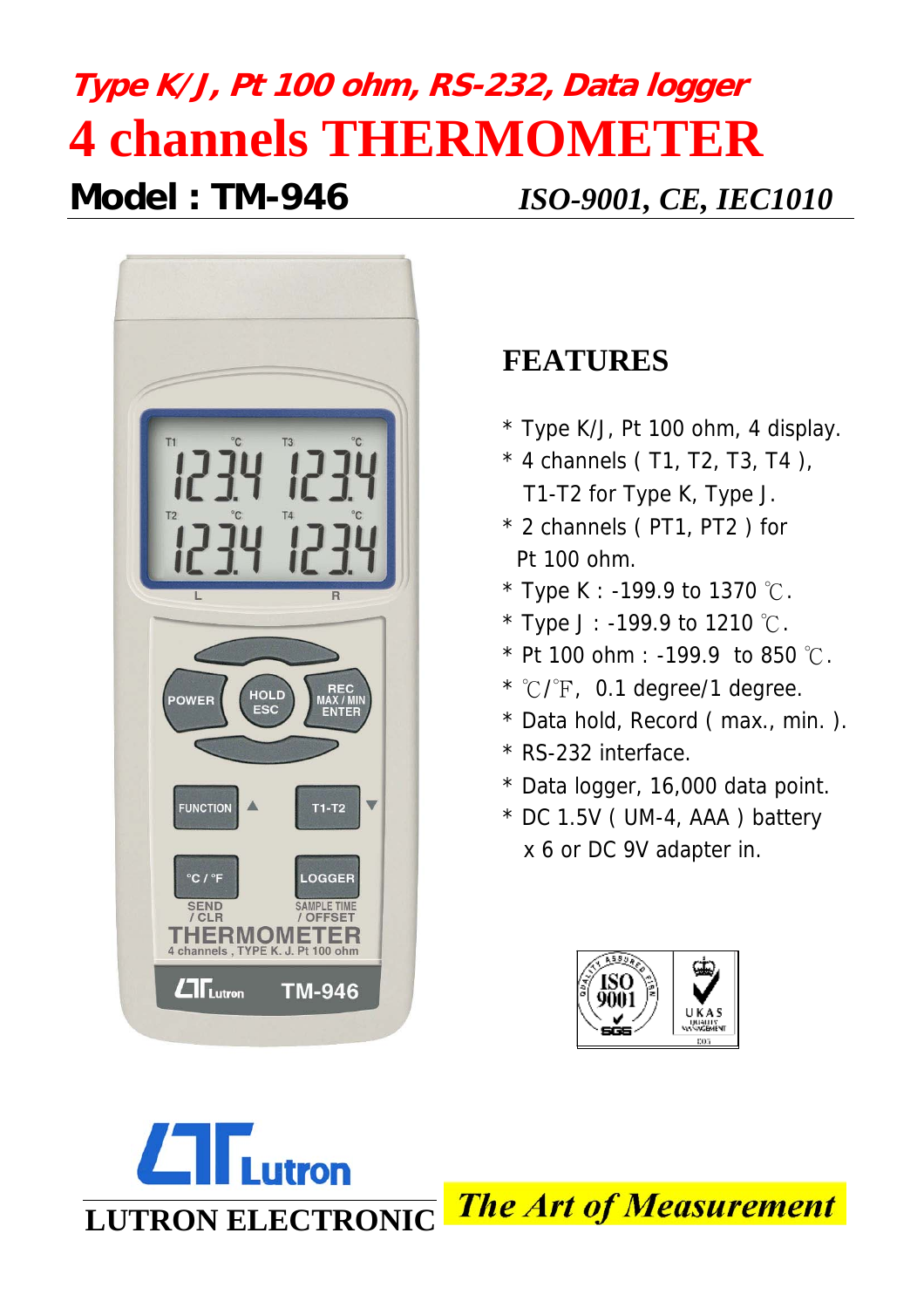# **Type K/J, Pt 100 ohm, RS-232, Data logger 4 channels THERMOMETER Model : TM-946** *ISO-9001, CE, IEC1010*



# **FEATURES**

- \* Type K/J, Pt 100 ohm, 4 display.
- $*$  4 channels (T1, T2, T3, T4), T1-T2 for Type K, Type J.
- \* 2 channels ( PT1, PT2 ) for Pt 100 ohm.
- \* Type K : -199.9 to 1370  $°C$ .
- \* Type J : -199.9 to 1210  $°C$ .
- $*$  Pt 100 ohm : -199.9 to 850  $°C$ .
- $*$  °C/ $\sqrt{F}$ , 0.1 degree/1 degree.
- \* Data hold, Record ( max., min. ).
- \* RS-232 interface.
- \* Data logger, 16,000 data point.
- \* DC 1.5V ( UM-4, AAA ) battery x 6 or DC 9V adapter in.



**utron The Art of Measurement LUTRON ELECTRONIC**